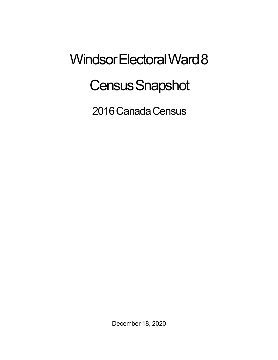## Windsor Electoral Ward 8 **Census Snapshot**

2016 Canada Census

December 18, 2020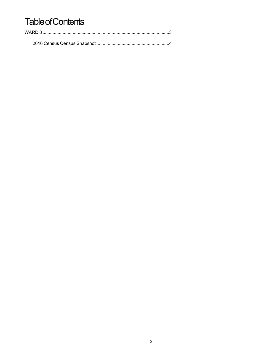## **Table of Contents**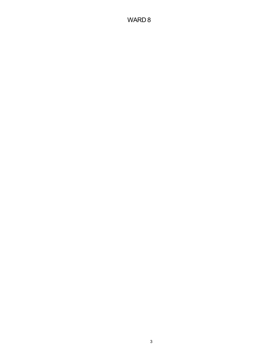## WARD 8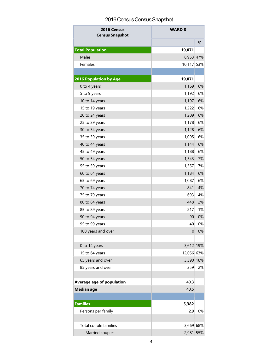## 2016 Census Census Snapshot

| 2016 Census<br><b>Census Snapshot</b> | <b>WARD 8</b> |     |
|---------------------------------------|---------------|-----|
|                                       |               | %   |
| <b>Total Population</b>               | 19,071        |     |
| Males                                 | 8,953 47%     |     |
| Females                               | 10,117        | 53% |
|                                       |               |     |
| <b>2016 Population by Age</b>         | 19,071        |     |
| 0 to 4 years                          | 1,169         | 6%  |
| 5 to 9 years                          | 1,192         | 6%  |
| 10 to 14 years                        | 1,197         | 6%  |
| 15 to 19 years                        | 1,222         | 6%  |
| 20 to 24 years                        | 1,209         | 6%  |
| 25 to 29 years                        | 1,178         | 6%  |
| 30 to 34 years                        | 1,128         | 6%  |
| 35 to 39 years                        | 1,095         | 6%  |
| 40 to 44 years                        | 1,144         | 6%  |
| 45 to 49 years                        | 1,188         | 6%  |
| 50 to 54 years                        | 1,343         | 7%  |
| 55 to 59 years                        | 1,357         | 7%  |
| 60 to 64 years                        | 1,184         | 6%  |
| 65 to 69 years                        | 1,087         | 6%  |
| 70 to 74 years                        | 841           | 4%  |
| 75 to 79 years                        | 693           | 4%  |
| 80 to 84 years                        | 448           | 2%  |
| 85 to 89 years                        | 217           | 1%  |
| 90 to 94 years                        | 90            | 0%  |
| 95 to 99 years                        | 40            | 0%  |
| 100 years and over                    | $\mathbf 0$   | 0%  |
|                                       |               |     |
| 0 to 14 years                         | 3,612 19%     |     |
| 15 to 64 years                        | 12,056 63%    |     |
| 65 years and over                     | 3,390 18%     |     |
| 85 years and over                     | 359           | 2%  |
|                                       |               |     |
| Average age of population             | 40.3          |     |
| <b>Median age</b>                     | 40.5          |     |
|                                       |               |     |
| <b>Families</b>                       | 5,382         |     |
| Persons per family                    | 2.9           | 0%  |
| Total couple families                 | 3,669 68%     |     |
| Married couples                       | 2,981         | 55% |